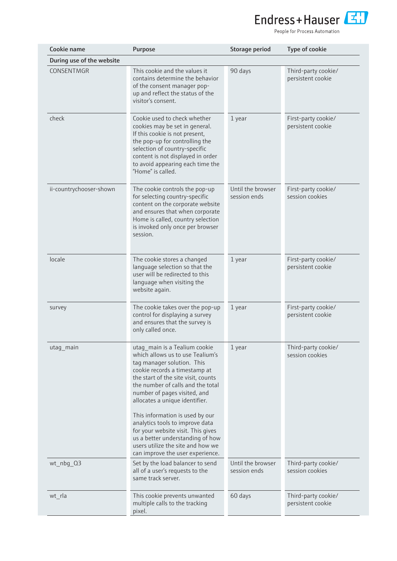

People for Process Automation

| Cookie name               | Purpose                                                                                                                                                                                                                                                                        | Storage period                    | Type of cookie                           |
|---------------------------|--------------------------------------------------------------------------------------------------------------------------------------------------------------------------------------------------------------------------------------------------------------------------------|-----------------------------------|------------------------------------------|
| During use of the website |                                                                                                                                                                                                                                                                                |                                   |                                          |
| CONSENTMGR                | This cookie and the values it<br>contains determine the behavior<br>of the consent manager pop-<br>up and reflect the status of the<br>visitor's consent.                                                                                                                      | 90 days                           | Third-party cookie/<br>persistent cookie |
| check                     | Cookie used to check whether<br>cookies may be set in general.<br>If this cookie is not present,<br>the pop-up for controlling the<br>selection of country-specific<br>content is not displayed in order<br>to avoid appearing each time the<br>"Home" is called.              | 1 year                            | First-party cookie/<br>persistent cookie |
| ii-countrychooser-shown   | The cookie controls the pop-up<br>for selecting country-specific<br>content on the corporate website<br>and ensures that when corporate<br>Home is called, country selection<br>is invoked only once per browser<br>session.                                                   | Until the browser<br>session ends | First-party cookie/<br>session cookies   |
| locale                    | The cookie stores a changed<br>language selection so that the<br>user will be redirected to this<br>language when visiting the<br>website again.                                                                                                                               | 1 year                            | First-party cookie/<br>persistent cookie |
| survey                    | The cookie takes over the pop-up<br>control for displaying a survey<br>and ensures that the survey is<br>only called once.                                                                                                                                                     | 1 year                            | First-party cookie/<br>persistent cookie |
| utag_main                 | utag main is a Tealium cookie<br>which allows us to use Tealium's<br>tag manager solution. This<br>cookie records a timestamp at<br>the start of the site visit, counts<br>the number of calls and the total<br>number of pages visited, and<br>allocates a unique identifier. | 1 year                            | Third-party cookie/<br>session cookies   |
|                           | This information is used by our<br>analytics tools to improve data<br>for your website visit. This gives<br>us a better understanding of how<br>users utilize the site and how we<br>can improve the user experience.                                                          |                                   |                                          |
| wt_nbg_Q3                 | Set by the load balancer to send<br>all of a user's requests to the<br>same track server.                                                                                                                                                                                      | Until the browser<br>session ends | Third-party cookie/<br>session cookies   |
| wt_rla                    | This cookie prevents unwanted<br>multiple calls to the tracking<br>pixel.                                                                                                                                                                                                      | 60 days                           | Third-party cookie/<br>persistent cookie |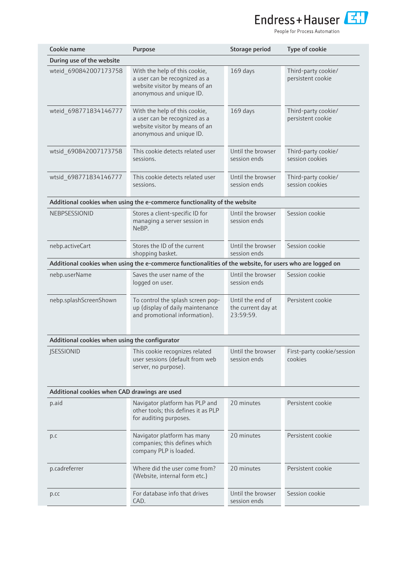

People for Process Automation

| Cookie name                                    | Purpose                                                                                                                      | Storage period                                      | Type of cookie                           |
|------------------------------------------------|------------------------------------------------------------------------------------------------------------------------------|-----------------------------------------------------|------------------------------------------|
| During use of the website                      |                                                                                                                              |                                                     |                                          |
| wteid 690842007173758                          | With the help of this cookie,<br>a user can be recognized as a<br>website visitor by means of an<br>anonymous and unique ID. | 169 days                                            | Third-party cookie/<br>persistent cookie |
| wteid 698771834146777                          | With the help of this cookie,<br>a user can be recognized as a<br>website visitor by means of an<br>anonymous and unique ID. | 169 days                                            | Third-party cookie/<br>persistent cookie |
| wtsid_690842007173758                          | This cookie detects related user<br>sessions.                                                                                | Until the browser<br>session ends                   | Third-party cookie/<br>session cookies   |
| wtsid_698771834146777                          | This cookie detects related user<br>sessions.                                                                                | Until the browser<br>session ends                   | Third-party cookie/<br>session cookies   |
|                                                | Additional cookies when using the e-commerce functionality of the website                                                    |                                                     |                                          |
| NEBPSESSIONID                                  | Stores a client-specific ID for<br>managing a server session in<br>NeBP.                                                     | Until the browser<br>session ends                   | Session cookie                           |
| nebp.activeCart                                | Stores the ID of the current<br>shopping basket.                                                                             | Until the browser<br>session ends                   | Session cookie                           |
|                                                | Additional cookies when using the e-commerce functionalities of the website, for users who are logged on                     |                                                     |                                          |
| nebp.userName                                  | Saves the user name of the<br>logged on user.                                                                                | Until the browser<br>session ends                   | Session cookie                           |
| nebp.splashScreenShown                         | To control the splash screen pop-<br>up (display of daily maintenance<br>and promotional information).                       | Until the end of<br>the current day at<br>23:59:59. | Persistent cookie                        |
| Additional cookies when using the configurator |                                                                                                                              |                                                     |                                          |
| <b>JSESSIONID</b>                              | This cookie recognizes related<br>user sessions (default from web<br>server, no purpose).                                    | Until the browser<br>session ends                   | First-party cookie/session<br>cookies    |
| Additional cookies when CAD drawings are used  |                                                                                                                              |                                                     |                                          |
| p.aid                                          | Navigator platform has PLP and<br>other tools; this defines it as PLP<br>for auditing purposes.                              | 20 minutes                                          | Persistent cookie                        |
| p.c                                            | Navigator platform has many<br>companies; this defines which<br>company PLP is loaded.                                       | 20 minutes                                          | Persistent cookie                        |
| p.cadreferrer                                  | Where did the user come from?<br>(Website, internal form etc.)                                                               | 20 minutes                                          | Persistent cookie                        |
| p.cc                                           | For database info that drives<br>CAD.                                                                                        | Until the browser<br>session ends                   | Session cookie                           |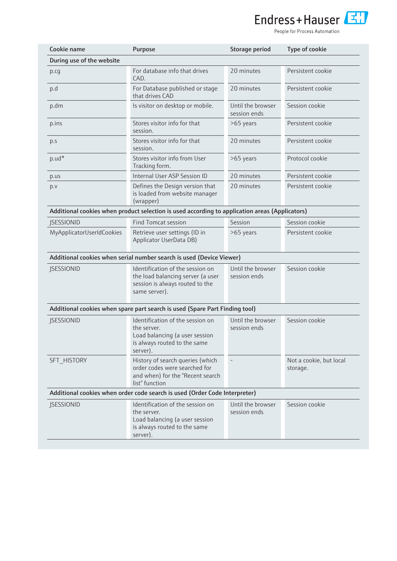

People for Process Automation

| Cookie name               | Purpose                                                                                                                       | Storage period                    | Type of cookie                      |
|---------------------------|-------------------------------------------------------------------------------------------------------------------------------|-----------------------------------|-------------------------------------|
| During use of the website |                                                                                                                               |                                   |                                     |
| p.cg                      | For database info that drives<br>CAD.                                                                                         | 20 minutes                        | Persistent cookie                   |
| p.d                       | For Database published or stage<br>that drives CAD                                                                            | 20 minutes                        | Persistent cookie                   |
| p.dm                      | Is visitor on desktop or mobile.                                                                                              | Until the browser<br>session ends | Session cookie                      |
| p.ins                     | Stores visitor info for that<br>session.                                                                                      | >65 years                         | Persistent cookie                   |
| p.s                       | Stores visitor info for that<br>session.                                                                                      | 20 minutes                        | Persistent cookie                   |
| $p.ud*$                   | Stores visitor info from User<br>Tracking form.                                                                               | >65 years                         | Protocol cookie                     |
| p.us                      | Internal User ASP Session ID                                                                                                  | 20 minutes                        | Persistent cookie                   |
| p.v                       | Defines the Design version that<br>is loaded from website manager<br>(wrapper)                                                | 20 minutes                        | Persistent cookie                   |
|                           | Additional cookies when product selection is used according to application areas (Applicators)                                |                                   |                                     |
| <b>JSESSIONID</b>         | <b>Find Tomcat session</b>                                                                                                    | Session                           | Session cookie                      |
| MyApplicatorUserIdCookies | Retrieve user settings (ID in<br>Applicator UserData DB)                                                                      | >65 years                         | Persistent cookie                   |
|                           | Additional cookies when serial number search is used (Device Viewer)                                                          |                                   |                                     |
| <b>JSESSIONID</b>         | Identification of the session on<br>the load balancing server (a user<br>session is always routed to the<br>same server).     | Until the browser<br>session ends | Session cookie                      |
|                           | Additional cookies when spare part search is used (Spare Part Finding tool)                                                   |                                   |                                     |
| <b>JSESSIONID</b>         | Identification of the session on<br>the server.<br>Load balancing (a user session<br>is always routed to the same<br>server). | Until the browser<br>session ends | Session cookie                      |
| SFT HISTORY               | History of search queries (which<br>order codes were searched for<br>and when) for the "Recent search<br>list" function       |                                   | Not a cookie, but local<br>storage. |
|                           | Additional cookies when order code search is used (Order Code Interpreter)                                                    |                                   |                                     |
| <b>JSESSIONID</b>         | Identification of the session on<br>the server.<br>Load balancing (a user session<br>is always routed to the same<br>server). | Until the browser<br>session ends | Session cookie                      |